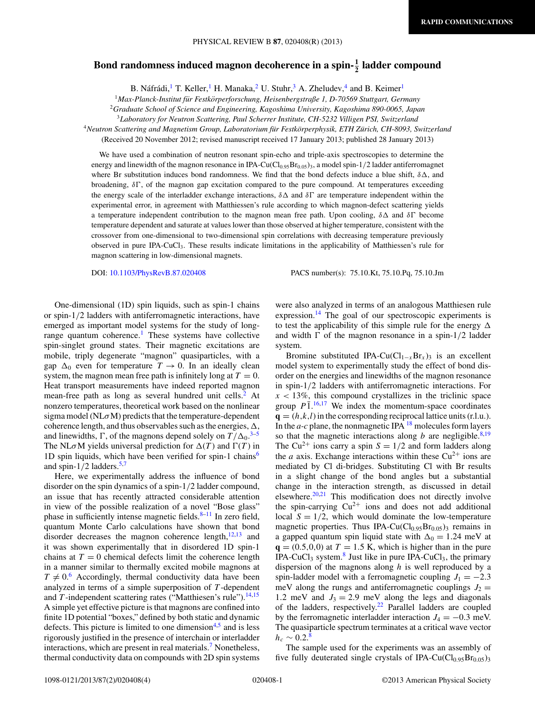## Bond randomness induced magnon decoherence in a spin- $\frac{1}{2}$  ladder compound

B. Náfrádi, <sup>1</sup> T. Keller, <sup>1</sup> H. Manaka, <sup>2</sup> U. Stuhr, <sup>3</sup> A. Zheludev, <sup>4</sup> and B. Keimer<sup>1</sup>

<sup>1</sup>Max-Planck-Institut für Festkörperforschung, Heisenbergstraße 1, D-70569 Stuttgart, Germany

<sup>2</sup>*Graduate School of Science and Engineering, Kagoshima University, Kagoshima 890-0065, Japan*

<sup>3</sup>*Laboratory for Neutron Scattering, Paul Scherrer Institute, CH-5232 Villigen PSI, Switzerland*

<sup>4</sup>*Neutron Scattering and Magnetism Group, Laboratorium fur Festk ¨ orperphysik, ETH Z ¨ urich, CH-8093, Switzerland ¨*

(Received 20 November 2012; revised manuscript received 17 January 2013; published 28 January 2013)

We have used a combination of neutron resonant spin-echo and triple-axis spectroscopies to determine the energy and linewidth of the magnon resonance in IPA-Cu(Cl<sub>0.95</sub>Br<sub>0.05</sub>)<sub>3</sub>, a model spin-1/2 ladder antiferromagnet where Br substitution induces bond randomness. We find that the bond defects induce a blue shift,  $\delta \Delta$ , and broadening,  $\delta\Gamma$ , of the magnon gap excitation compared to the pure compound. At temperatures exceeding the energy scale of the interladder exchange interactions,  $\delta \Delta$  and  $\delta \Gamma$  are temperature independent within the experimental error, in agreement with Matthiessen's rule according to which magnon-defect scattering yields a temperature independent contribution to the magnon mean free path. Upon cooling,  $\delta \Delta$  and  $\delta \Gamma$  become temperature dependent and saturate at values lower than those observed at higher temperature, consistent with the crossover from one-dimensional to two-dimensional spin correlations with decreasing temperature previously observed in pure IPA-CuCl3. These results indicate limitations in the applicability of Matthiessen's rule for magnon scattering in low-dimensional magnets.

DOI: [10.1103/PhysRevB.87.020408](http://dx.doi.org/10.1103/PhysRevB.87.020408) PACS number(s): 75*.*10*.*Kt, 75*.*10*.*Pq, 75*.*10*.*Jm

One-dimensional (1D) spin liquids, such as spin-1 chains or spin-1*/*2 ladders with antiferromagnetic interactions, have emerged as important model systems for the study of longrange quantum coherence.<sup>1</sup> These systems have collective spin-singlet ground states. Their magnetic excitations are mobile, triply degenerate "magnon" quasiparticles, with a gap  $\Delta_0$  even for temperature  $T \to 0$ . In an ideally clean system, the magnon mean free path is infinitely long at  $T = 0$ . Heat transport measurements have indeed reported magnon mean-free path as long as several hundred unit cells.<sup>[2](#page-3-0)</sup> At nonzero temperatures, theoretical work based on the nonlinear sigma model (NL*σ*M) predicts that the temperature-dependent coherence length, and thus observables such as the energies,  $\Delta$ , and linewidths,  $\Gamma$ , of the magnons depend solely on  $T/\Delta_0$ .<sup>[3–5](#page-3-0)</sup> The NL $\sigma$ M yields universal prediction for  $\Delta(T)$  and  $\Gamma(T)$  in 1D spin liquids, which have been verified for spin-1 chains<sup>[6](#page-3-0)</sup> and spin- $1/2$  ladders.<sup>5,7</sup>

Here, we experimentally address the influence of bond disorder on the spin dynamics of a spin-1*/*2 ladder compound, an issue that has recently attracted considerable attention in view of the possible realization of a novel "Bose glass" phase in sufficiently intense magnetic fields. $8-11$  In zero field, quantum Monte Carlo calculations have shown that bond disorder decreases the magnon coherence length, $12,13$  and it was shown experimentally that in disordered 1D spin-1 chains at  $T = 0$  chemical defects limit the coherence length in a manner similar to thermally excited mobile magnons at  $T \neq 0.6$  $T \neq 0.6$  Accordingly, thermal conductivity data have been analyzed in terms of a simple superposition of *T* -dependent and  $T$ -independent scattering rates ("Matthiesen's rule").<sup>[14,15](#page-3-0)</sup> A simple yet effective picture is that magnons are confined into finite 1D potential "boxes," defined by both static and dynamic defects. This picture is limited to one dimension $4.5$  and is less rigorously justified in the presence of interchain or interladder interactions, which are present in real materials.<sup>[7](#page-3-0)</sup> Nonetheless, thermal conductivity data on compounds with 2D spin systems were also analyzed in terms of an analogous Matthiesen rule expression.<sup>[14](#page-3-0)</sup> The goal of our spectroscopic experiments is to test the applicability of this simple rule for the energy  $\Delta$ and width  $\Gamma$  of the magnon resonance in a spin-1/2 ladder system.

Bromine substituted IPA-Cu( $Cl<sub>1-x</sub>Br<sub>x</sub>$ )<sub>3</sub> is an excellent model system to experimentally study the effect of bond disorder on the energies and linewidths of the magnon resonance in spin-1*/*2 ladders with antiferromagnetic interactions. For  $x < 13\%$ , this compound crystallizes in the triclinic space group  $P\overline{1}$ . <sup>[16,17](#page-3-0)</sup> We index the momentum-space coordinates  $\mathbf{q} = (h, k, l)$  in the corresponding reciprocal lattice units (r.l.u.). In the  $a-c$  plane, the nonmagnetic IPA  $^{18}$  $^{18}$  $^{18}$  molecules form layers so that the magnetic interactions along *b* are negligible.<sup>[8,19](#page-3-0)</sup> The Cu<sup>2+</sup> ions carry a spin  $S = 1/2$  and form ladders along the *a* axis. Exchange interactions within these  $Cu^{2+}$  ions are mediated by Cl di-bridges. Substituting Cl with Br results in a slight change of the bond angles but a substantial change in the interaction strength, as discussed in detail elsewhere. $20,21$  This modification does not directly involve the spin-carrying  $Cu^{2+}$  ions and does not add additional local  $S = 1/2$ , which would dominate the low-temperature magnetic properties. Thus IPA-Cu( $Cl<sub>0.95</sub>Br<sub>0.05</sub>$ )<sub>3</sub> remains in a gapped quantum spin liquid state with  $\Delta_0 = 1.24$  meV at  $q = (0.5, 0, 0)$  at  $T = 1.5$  K, which is higher than in the pure IPA-CuCl<sub>3</sub> system.<sup>[8](#page-3-0)</sup> Just like in pure IPA-CuCl<sub>3</sub>, the primary dispersion of the magnons along *h* is well reproduced by a spin-ladder model with a ferromagnetic coupling  $J_1 = -2.3$ meV along the rungs and antiferromagnetic couplings  $J_2$  = 1.2 meV and  $J_3 = 2.9$  meV along the legs and diagonals of the ladders, respectively.<sup>22</sup> Parallel ladders are coupled by the ferromagnetic interladder interaction  $J_4 = -0.3$  meV. The quasiparticle spectrum terminates at a critical wave vector  $h_c \sim 0.2$ .<sup>[8](#page-3-0)</sup>

The sample used for the experiments was an assembly of five fully deuterated single crystals of IPA-Cu( $Cl<sub>0.95</sub>Br<sub>0.05</sub>$ )<sub>3</sub>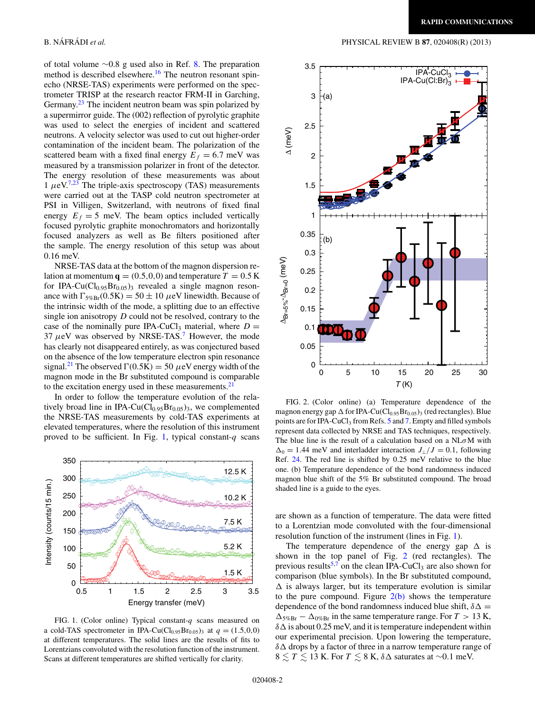<span id="page-1-0"></span>of total volume ∼0.8 g used also in Ref. [8.](#page-3-0) The preparation method is described elsewhere.<sup>16</sup> The neutron resonant spinecho (NRSE-TAS) experiments were performed on the spectrometer TRISP at the research reactor FRM-II in Garching, Germany.<sup>[23](#page-3-0)</sup> The incident neutron beam was spin polarized by a supermirror guide. The (002) reflection of pyrolytic graphite was used to select the energies of incident and scattered neutrons. A velocity selector was used to cut out higher-order contamination of the incident beam. The polarization of the scattered beam with a fixed final energy  $E_f = 6.7$  meV was measured by a transmission polarizer in front of the detector. The energy resolution of these measurements was about  $1 \mu eV^{7,23}$  $1 \mu eV^{7,23}$  $1 \mu eV^{7,23}$  The triple-axis spectroscopy (TAS) measurements were carried out at the TASP cold neutron spectrometer at PSI in Villigen, Switzerland, with neutrons of fixed final energy  $E_f = 5$  meV. The beam optics included vertically focused pyrolytic graphite monochromators and horizontally focused analyzers as well as Be filters positioned after the sample. The energy resolution of this setup was about 0.16 meV.

NRSE-TAS data at the bottom of the magnon dispersion relation at momentum  $q = (0.5, 0, 0)$  and temperature  $T = 0.5$  K for IPA-Cu( $Cl<sub>0.95</sub>Br<sub>0.05</sub>$ )<sub>3</sub> revealed a single magnon resonance with  $\Gamma_{5\%BF}(0.5K) = 50 \pm 10 \,\mu\text{eV}$  linewidth. Because of the intrinsic width of the mode, a splitting due to an effective single ion anisotropy *D* could not be resolved, contrary to the case of the nominally pure IPA-CuCl<sub>3</sub> material, where  $D =$ 37 *μ*eV was observed by NRSE-TAS.[7](#page-3-0) However, the mode has clearly not disappeared entirely, as was conjectured based on the absence of the low temperature electron spin resonance signal.<sup>[21](#page-3-0)</sup> The observed  $\Gamma(0.5K) = 50 \mu eV$  energy width of the magnon mode in the Br substituted compound is comparable to the excitation energy used in these measurements.<sup>21</sup>

In order to follow the temperature evolution of the relatively broad line in IPA-Cu( $Cl<sub>0.95</sub>Br<sub>0.05</sub>$ )<sub>3</sub>, we complemented the NRSE-TAS measurements by cold-TAS experiments at elevated temperatures, where the resolution of this instrument proved to be sufficient. In Fig. 1, typical constant-*q* scans



FIG. 1. (Color online) Typical constant-*q* scans measured on a cold-TAS spectrometer in IPA-Cu(Cl<sub>0.95</sub>Br<sub>0.05</sub>)<sub>3</sub> at  $q = (1.5, 0.0)$ at different temperatures. The solid lines are the results of fits to Lorentzians convoluted with the resolution function of the instrument. Scans at different temperatures are shifted vertically for clarity.



FIG. 2. (Color online) (a) Temperature dependence of the magnon energy gap  $\Delta$  for IPA-Cu(Cl<sub>0.95</sub>Br<sub>0.05</sub>)<sub>3</sub> (red rectangles). Blue points are for IPA-CuCl<sub>3</sub> from Refs. [5](#page-3-0) and [7.](#page-3-0) Empty and filled symbols represent data collected by NRSE and TAS techniques, respectively. The blue line is the result of a calculation based on a NL*σ*M with  $\Delta_0 = 1.44$  meV and interladder interaction  $J_{\perp}/J = 0.1$ , following Ref. [24.](#page-3-0) The red line is shifted by 0*.*25 meV relative to the blue one. (b) Temperature dependence of the bond randomness induced magnon blue shift of the 5% Br substituted compound. The broad shaded line is a guide to the eyes.

are shown as a function of temperature. The data were fitted to a Lorentzian mode convoluted with the four-dimensional resolution function of the instrument (lines in Fig. 1).

The temperature dependence of the energy gap  $\Delta$  is shown in the top panel of Fig. 2 (red rectangles). The previous results<sup>5,7</sup> on the clean IPA-CuCl<sub>3</sub> are also shown for comparison (blue symbols). In the Br substituted compound,  $\Delta$  is always larger, but its temperature evolution is similar to the pure compound. Figure  $2(b)$  shows the temperature dependence of the bond randomness induced blue shift,  $\delta \Delta =$  $\Delta_{5\%BF} - \Delta_{0\%BF}$  in the same temperature range. For  $T > 13$  K,  $\delta\Delta$  is about 0.25 meV, and it is temperature independent within our experimental precision. Upon lowering the temperature, *δ* drops by a factor of three in a narrow temperature range of  $8 \lesssim T \lesssim 13$  K. For  $T \lesssim 8$  K,  $\delta \Delta$  saturates at ~0.1 meV.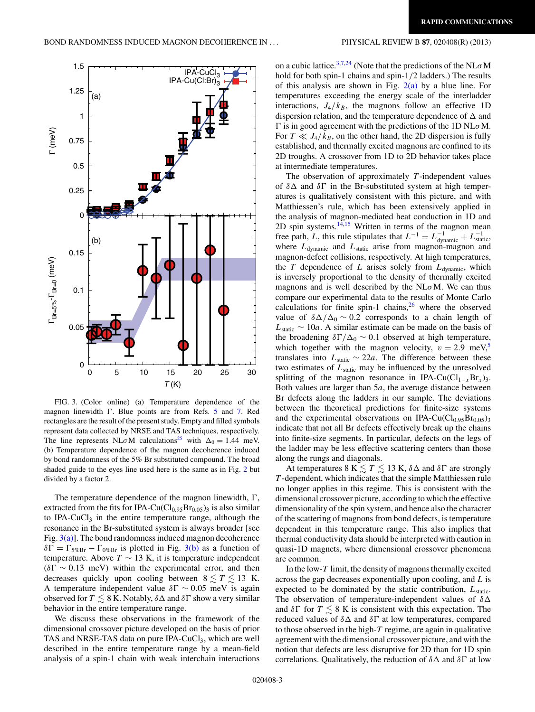

FIG. 3. (Color online) (a) Temperature dependence of the magnon linewidth  $\Gamma$ . Blue points are from Refs. [5](#page-3-0) and [7.](#page-3-0) Red rectangles are the result of the present study. Empty and filled symbols represent data collected by NRSE and TAS techniques, respectively. The line represents NL $\sigma$ M calculations<sup>25</sup> with  $\Delta_0 = 1.44$  meV. (b) Temperature dependence of the magnon decoherence induced by bond randomness of the 5% Br substituted compound. The broad shaded guide to the eyes line used here is the same as in Fig. [2](#page-1-0) but divided by a factor 2.

The temperature dependence of the magnon linewidth,  $\Gamma$ , extracted from the fits for IPA-Cu( $Cl<sub>0.95</sub>Br<sub>0.05</sub>$ )<sub>3</sub> is also similar to IPA-CuCl<sub>3</sub> in the entire temperature range, although the resonance in the Br-substituted system is always broader [see Fig.  $3(a)$ ]. The bond randomness induced magnon decoherence  $\delta\Gamma = \Gamma_{5\%Br} - \Gamma_{0\%Br}$  is plotted in Fig. 3(b) as a function of temperature. Above *T* ∼ 13 K, it is temperature independent  $(\delta\Gamma \sim 0.13$  meV) within the experimental error, and then decreases quickly upon cooling between  $8 \lesssim T \lesssim 13$  K. A temperature independent value  $\delta \Gamma \sim 0.05$  meV is again observed for  $T\lesssim 8$  K. Notably,  $\delta \Delta$  and  $\delta \Gamma$  show a very similar behavior in the entire temperature range.

We discuss these observations in the framework of the dimensional crossover picture developed on the basis of prior TAS and NRSE-TAS data on pure IPA-CuCl<sub>3</sub>, which are well described in the entire temperature range by a mean-field analysis of a spin-1 chain with weak interchain interactions on a cubic lattice.[3,7,24](#page-3-0) (Note that the predictions of the NL*σ*M hold for both spin-1 chains and spin-1*/*2 ladders.) The results of this analysis are shown in Fig.  $2(a)$  by a blue line. For temperatures exceeding the energy scale of the interladder interactions,  $J_4/k_B$ , the magnons follow an effective 1D dispersion relation, and the temperature dependence of  $\Delta$  and is in good agreement with the predictions of the 1D NL*σ*M. For  $T \ll J_4/k_B$ , on the other hand, the 2D dispersion is fully established, and thermally excited magnons are confined to its 2D troughs. A crossover from 1D to 2D behavior takes place at intermediate temperatures.

The observation of approximately *T* -independent values of  $\delta\Delta$  and  $\delta\Gamma$  in the Br-substituted system at high temperatures is qualitatively consistent with this picture, and with Matthiessen's rule, which has been extensively applied in the analysis of magnon-mediated heat conduction in 1D and 2D spin systems. $14,15$  Written in terms of the magnon mean free path, *L*, this rule stipulates that  $L^{-1} = L_{\text{dynamic}}^{-1} + L_{\text{static}}^{-1}$ , where  $L_{\text{dynamic}}$  and  $L_{\text{static}}$  arise from magnon-magnon and magnon-defect collisions, respectively. At high temperatures, the *T* dependence of *L* arises solely from  $L_{dynamic}$ , which is inversely proportional to the density of thermally excited magnons and is well described by the NL*σ*M. We can thus compare our experimental data to the results of Monte Carlo calculations for finite spin-1 chains, $26$  where the observed value of  $\delta\Delta/\Delta_0 \sim 0.2$  corresponds to a chain length of  $L_{static} \sim 10a$ . A similar estimate can be made on the basis of the broadening  $\delta\Gamma/\Delta_0 \sim 0.1$  observed at high temperature, which together with the magnon velocity,  $v = 2.9$  meV,<sup>[5](#page-3-0)</sup> translates into  $L_{static} \sim 22a$ . The difference between these two estimates of  $L_{static}$  may be influenced by the unresolved splitting of the magnon resonance in IPA-Cu( $Cl_{1-x}Br_x$ )<sub>3</sub>. Both values are larger than 5*a*, the average distance between Br defects along the ladders in our sample. The deviations between the theoretical predictions for finite-size systems and the experimental observations on IPA-Cu( $Cl<sub>0.95</sub>Br<sub>0.05</sub>$ )<sub>3</sub> indicate that not all Br defects effectively break up the chains into finite-size segments. In particular, defects on the legs of the ladder may be less effective scattering centers than those along the rungs and diagonals.

At temperatures 8 K  $\lesssim T \lesssim 13$  K,  $\delta \Delta$  and  $\delta \Gamma$  are strongly *T* -dependent, which indicates that the simple Matthiessen rule no longer applies in this regime. This is consistent with the dimensional crossover picture, according to which the effective dimensionality of the spin system, and hence also the character of the scattering of magnons from bond defects, is temperature dependent in this temperature range. This also implies that thermal conductivity data should be interpreted with caution in quasi-1D magnets, where dimensional crossover phenomena are common.

In the low-*T* limit, the density of magnons thermally excited across the gap decreases exponentially upon cooling, and *L* is expected to be dominated by the static contribution, *L*static. The observation of temperature-independent values of *δ* and  $\delta \Gamma$  for  $T \lesssim 8$  K is consistent with this expectation. The reduced values of  $\delta \Delta$  and  $\delta \Gamma$  at low temperatures, compared to those observed in the high-*T* regime, are again in qualitative agreement with the dimensional crossover picture, and with the notion that defects are less disruptive for 2D than for 1D spin correlations. Qualitatively, the reduction of  $\delta \Delta$  and  $\delta \Gamma$  at low